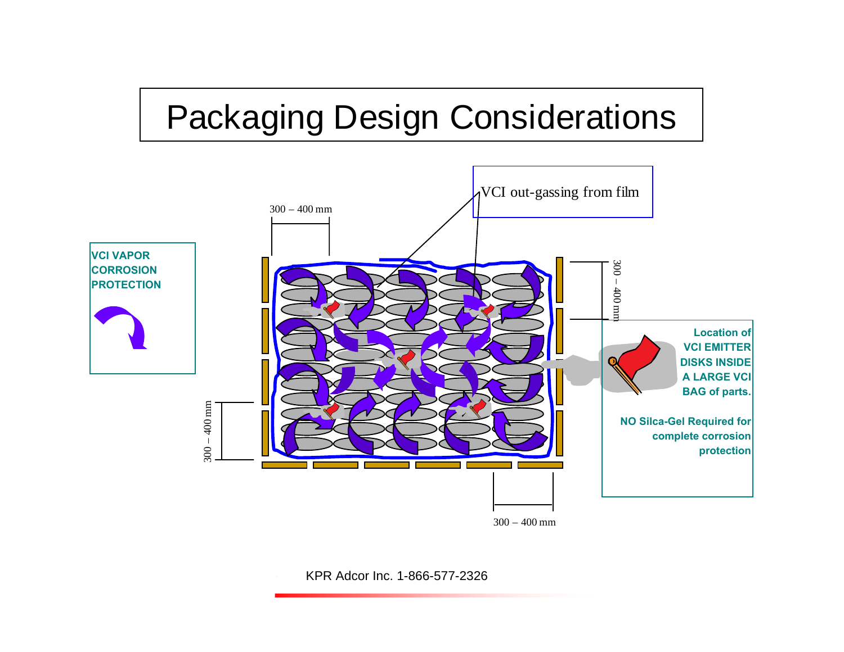# [Packaging Design Considerations](http://www.corrosionvci.com/corrosion/categories.php)

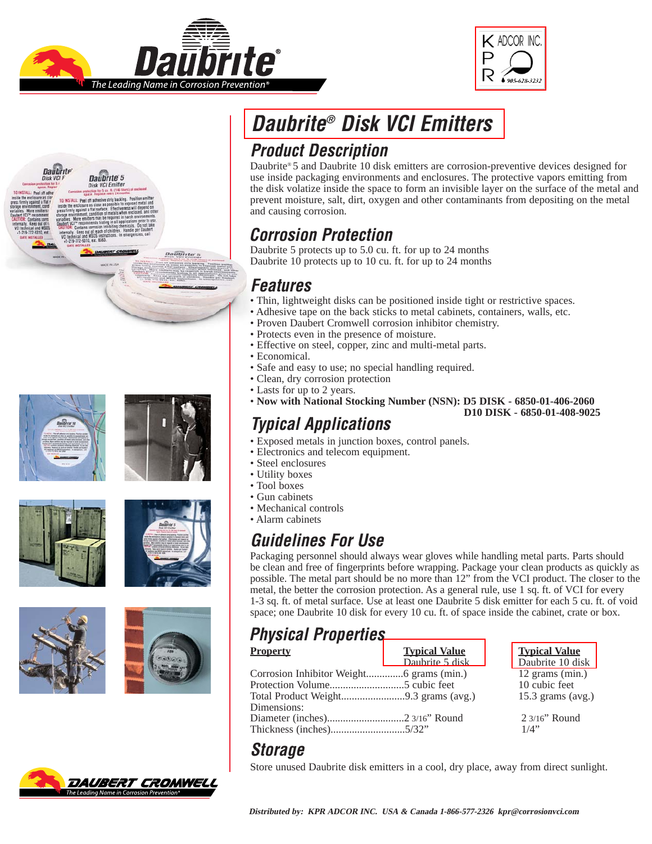



















## **Daubrite® [Disk VCI Emitters](http://www.corrosionvci.com/corrosion/products.php?cat=72)**

### **Product Description**

[Daubrite®](http://www.corrosionvci.com/corrosion/proddetail.php?prod=VCI-Emitter-NSN6850) 5 and Daubrite 10 disk emitters are corrosion-preventive devices designed for use inside packaging environments and enclosures. The protective vapors emitting from the disk volatize inside the space to form an invisible layer on the surface of the metal and prevent moisture, salt, dirt, oxygen and other contaminants from depositing on the metal and causing corrosion.

#### **Corrosion Protection**

[Daubrite 5 protects up to 5.0 cu. ft. for up to 24 months](http://www.corrosionvci.com/corrosion/proddetail.php?prod=VCI-Emitter-NSN6850) Daubrite 10 protects up to 10 cu. ft. for up to 24 months

#### **Features**

- Thin, lightweight disks can be positioned inside tight or restrictive spaces.
- Adhesive tape on the back sticks to metal cabinets, containers, walls, etc.
- Proven Daubert Cromwell corrosion inhibitor chemistry.
- Protects even in the presence of moisture.
- Effective on steel, copper, zinc and multi-metal parts.
- Economical.
- Safe and easy to use; no special handling required.
- Clean, dry corrosion protection
- Lasts for up to 2 years.
- **Now with National Stocking Number (NSN): [D5 DISK 6850-01-406-2060](http://www.corrosionvci.com/corrosion/proddetail.php?prod=VCI-Emitter-NSN6850) [D10 DISK - 6850-01-408-9025](http://www.corrosionvci.com/corrosion/proddetail.php?prod=VCI-Emitter-NSN)**

#### **Typical Applications**

- Exposed metals in junction boxes, control panels.
- Electronics and telecom equipment.
- Steel enclosures
- Utility boxes
- Tool boxes
- Gun cabinets
- Mechanical controls
- Alarm cabinets

### **Guidelines For Use**

Packaging personnel should always wear gloves while handling metal parts. Parts should be clean and free of fingerprints before wrapping. Package your clean products as quickly as possible. The metal part should be no more than 12" from the VCI product. The closer to the metal, the better the corrosion protection. As a general rule, use 1 sq. ft. of VCI for every 1-3 sq. ft. of metal surface. Use at least one Daubrite 5 disk emitter for each 5 cu. ft. of void space; one Daubrite 10 disk for every 10 cu. ft. of space inside the cabinet, crate or box.

#### **Physical Properties**

| <b>Property</b> | <b>Typical Value</b> | <u>Typi</u>     |
|-----------------|----------------------|-----------------|
|                 | Daubrite 5 disk      | Daub            |
|                 |                      | $12 \text{ gr}$ |
|                 |                      | $10 \text{ c}$  |
|                 |                      | 15.3            |
| Dimensions:     |                      |                 |
|                 |                      | 23/1            |
|                 |                      | $1/4$ "         |
|                 |                      |                 |

**Typical Value** Daubrite 10 disk 12 grams (min.) 10 cubic feet  $15.3$  grams (avg.)  $23/16"$  Round  $1/4"$ 

#### **Storage**

Store unused Daubrite disk emitters in a cool, dry place, away from direct sunlight.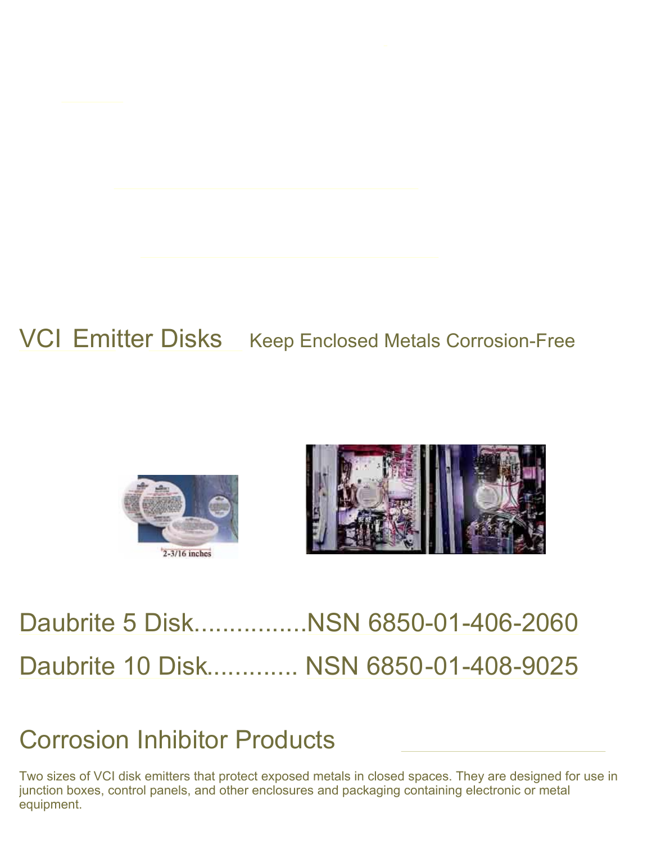## VCI [Emitter](http://www.corrosionvci.com/corrosion/products.php?cat=16) Disks Keep Enclosed Metals Corrosion-Free





# [Daubrite 5 Disk................NSN 6850-01-406-2060](http://www.corrosionvci.com/corrosion/proddetail.php?prod=Daubrite5-emitters&cat=16) [Daubrite 10 Disk............. NSN 6850-01-408-9025](http://www.corrosionvci.com/corrosion/proddetail.php?prod=VCI-Emitter-NSN&cat=16)

### [Corrosion Inhibitor Products](http://www.corrosionvci.com/corrosion)

Two sizes of VCI disk emitters that protect exposed metals in closed spaces. They are designed for use in junction boxes, control panels, and other enclosures and packaging containing electronic or metal equipment.